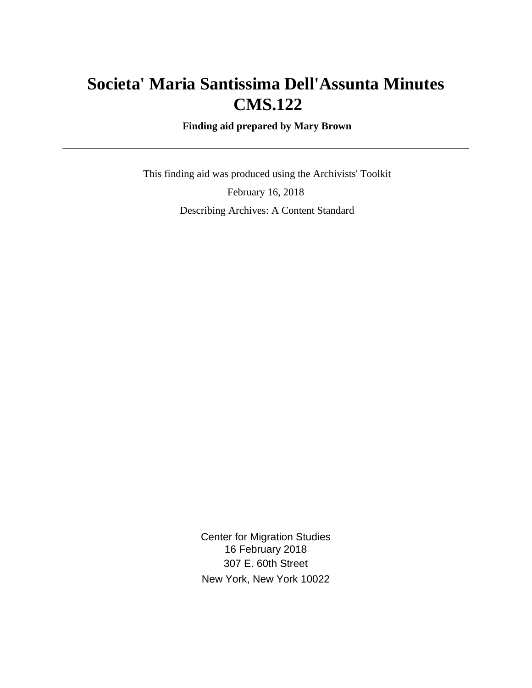# **Societa' Maria Santissima Dell'Assunta Minutes CMS.122**

 **Finding aid prepared by Mary Brown**

 This finding aid was produced using the Archivists' Toolkit February 16, 2018 Describing Archives: A Content Standard

> Center for Migration Studies 16 February 2018 307 E. 60th Street New York, New York 10022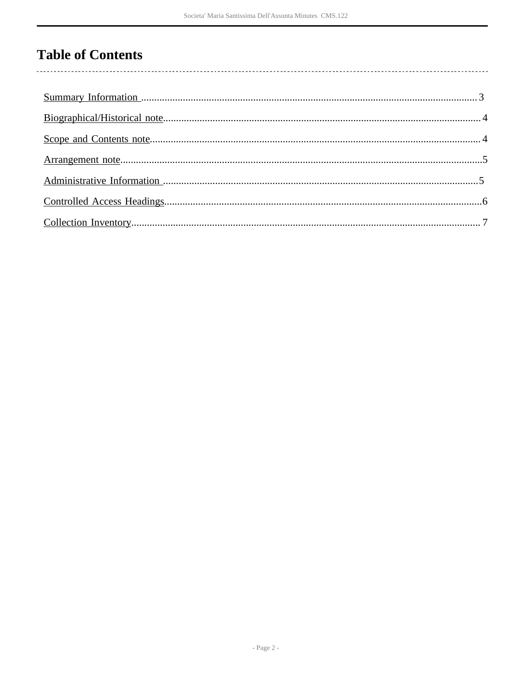## **Table of Contents**

 $\overline{\phantom{a}}$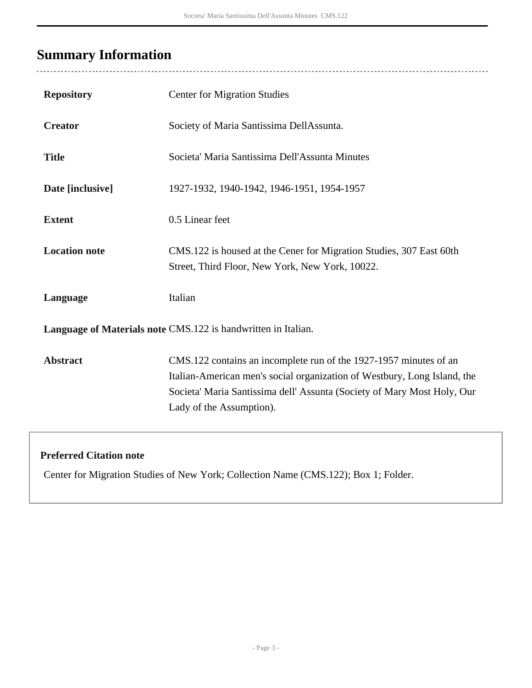## <span id="page-2-0"></span>**Summary Information**

 $\overline{a}$ 

| <b>Repository</b>                                             | <b>Center for Migration Studies</b>                                                                                                                                                                                                                  |  |  |  |
|---------------------------------------------------------------|------------------------------------------------------------------------------------------------------------------------------------------------------------------------------------------------------------------------------------------------------|--|--|--|
| <b>Creator</b>                                                | Society of Maria Santissima DellAssunta.                                                                                                                                                                                                             |  |  |  |
| <b>Title</b>                                                  | Societa' Maria Santissima Dell'Assunta Minutes                                                                                                                                                                                                       |  |  |  |
| Date [inclusive]                                              | 1927-1932, 1940-1942, 1946-1951, 1954-1957                                                                                                                                                                                                           |  |  |  |
| <b>Extent</b>                                                 | 0.5 Linear feet                                                                                                                                                                                                                                      |  |  |  |
| <b>Location note</b>                                          | CMS.122 is housed at the Cener for Migration Studies, 307 East 60th<br>Street, Third Floor, New York, New York, 10022.                                                                                                                               |  |  |  |
| Language                                                      | Italian                                                                                                                                                                                                                                              |  |  |  |
| Language of Materials note CMS.122 is handwritten in Italian. |                                                                                                                                                                                                                                                      |  |  |  |
| <b>Abstract</b>                                               | CMS.122 contains an incomplete run of the 1927-1957 minutes of an<br>Italian-American men's social organization of Westbury, Long Island, the<br>Societa' Maria Santissima dell' Assunta (Society of Mary Most Holy, Our<br>Lady of the Assumption). |  |  |  |

#### **Preferred Citation note**

Center for Migration Studies of New York; Collection Name (CMS.122); Box 1; Folder.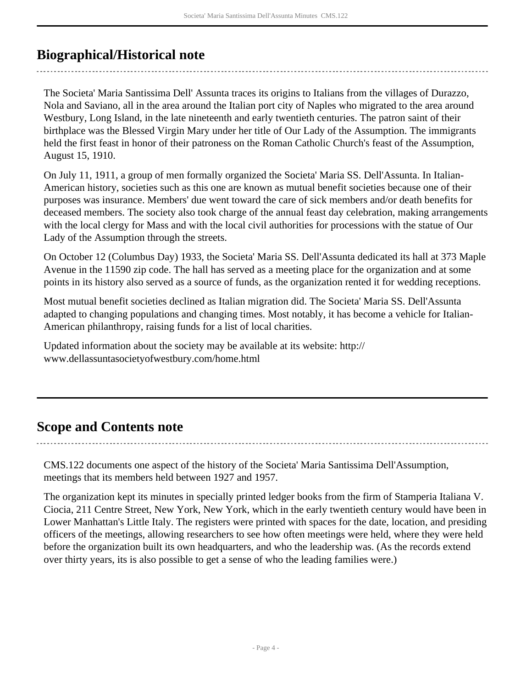### <span id="page-3-0"></span>**Biographical/Historical note**

The Societa' Maria Santissima Dell' Assunta traces its origins to Italians from the villages of Durazzo, Nola and Saviano, all in the area around the Italian port city of Naples who migrated to the area around Westbury, Long Island, in the late nineteenth and early twentieth centuries. The patron saint of their birthplace was the Blessed Virgin Mary under her title of Our Lady of the Assumption. The immigrants held the first feast in honor of their patroness on the Roman Catholic Church's feast of the Assumption, August 15, 1910.

On July 11, 1911, a group of men formally organized the Societa' Maria SS. Dell'Assunta. In Italian-American history, societies such as this one are known as mutual benefit societies because one of their purposes was insurance. Members' due went toward the care of sick members and/or death benefits for deceased members. The society also took charge of the annual feast day celebration, making arrangements with the local clergy for Mass and with the local civil authorities for processions with the statue of Our Lady of the Assumption through the streets.

On October 12 (Columbus Day) 1933, the Societa' Maria SS. Dell'Assunta dedicated its hall at 373 Maple Avenue in the 11590 zip code. The hall has served as a meeting place for the organization and at some points in its history also served as a source of funds, as the organization rented it for wedding receptions.

Most mutual benefit societies declined as Italian migration did. The Societa' Maria SS. Dell'Assunta adapted to changing populations and changing times. Most notably, it has become a vehicle for Italian-American philanthropy, raising funds for a list of local charities.

Updated information about the society may be available at its website: http:// www.dellassuntasocietyofwestbury.com/home.html

### <span id="page-3-1"></span>**Scope and Contents note**

CMS.122 documents one aspect of the history of the Societa' Maria Santissima Dell'Assumption, meetings that its members held between 1927 and 1957.

The organization kept its minutes in specially printed ledger books from the firm of Stamperia Italiana V. Ciocia, 211 Centre Street, New York, New York, which in the early twentieth century would have been in Lower Manhattan's Little Italy. The registers were printed with spaces for the date, location, and presiding officers of the meetings, allowing researchers to see how often meetings were held, where they were held before the organization built its own headquarters, and who the leadership was. (As the records extend over thirty years, its is also possible to get a sense of who the leading families were.)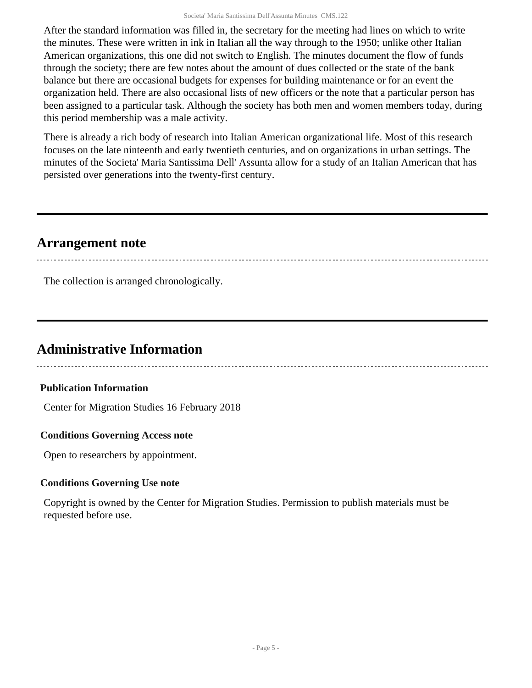After the standard information was filled in, the secretary for the meeting had lines on which to write the minutes. These were written in ink in Italian all the way through to the 1950; unlike other Italian American organizations, this one did not switch to English. The minutes document the flow of funds through the society; there are few notes about the amount of dues collected or the state of the bank balance but there are occasional budgets for expenses for building maintenance or for an event the organization held. There are also occasional lists of new officers or the note that a particular person has been assigned to a particular task. Although the society has both men and women members today, during this period membership was a male activity.

There is already a rich body of research into Italian American organizational life. Most of this research focuses on the late ninteenth and early twentieth centuries, and on organizations in urban settings. The minutes of the Societa' Maria Santissima Dell' Assunta allow for a study of an Italian American that has persisted over generations into the twenty-first century.

### <span id="page-4-0"></span>**Arrangement note**

The collection is arranged chronologically.

### <span id="page-4-1"></span>**Administrative Information**

#### **Publication Information**

Center for Migration Studies 16 February 2018

#### **Conditions Governing Access note**

Open to researchers by appointment.

#### **Conditions Governing Use note**

Copyright is owned by the Center for Migration Studies. Permission to publish materials must be requested before use.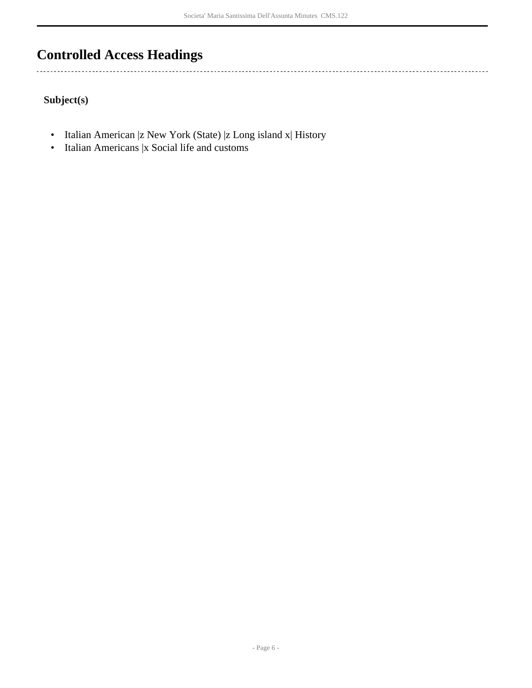## <span id="page-5-0"></span>**Controlled Access Headings**

**Subject(s)**

 $\ddotsc$ 

- Italian American |z New York (State) |z Long island x| History
- Italian Americans |x Social life and customs